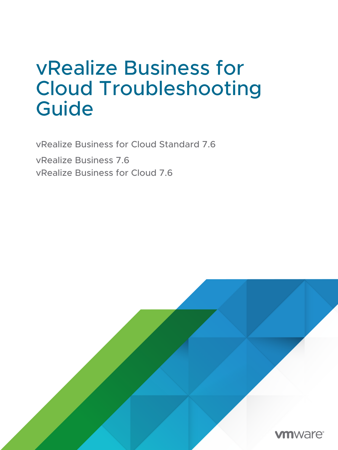## vRealize Business for Cloud Troubleshooting Guide

vRealize Business for Cloud Standard 7.6 vRealize Business 7.6 vRealize Business for Cloud 7.6

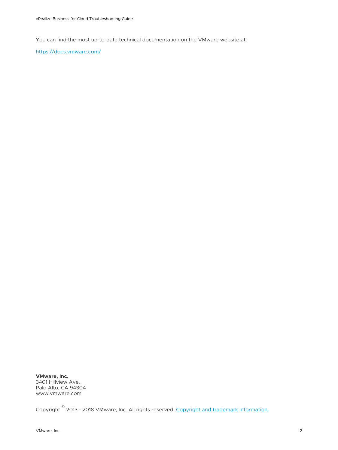You can find the most up-to-date technical documentation on the VMware website at:

<https://docs.vmware.com/>

**VMware, Inc.** 3401 Hillview Ave. Palo Alto, CA 94304 www.vmware.com

Copyright <sup>©</sup> 2013 - 2018 VMware, Inc. All rights reserved. [Copyright and trademark information.](https://docs.vmware.com/copyright-trademark.html)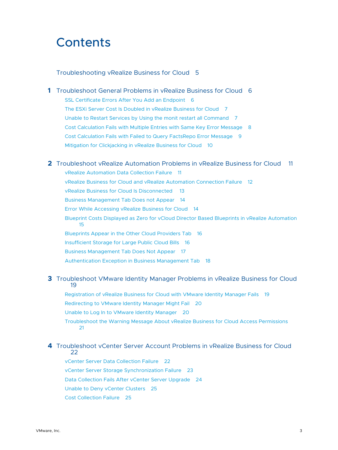## **Contents**

#### [Troubleshooting vRealize Business for Cloud](#page-4-0) 5

**1** [Troubleshoot General Problems in vRealize Business for Cloud](#page-5-0) 6 [SSL Certificate Errors After You Add an Endpoint](#page-5-0) 6 [The ESXi Server Cost Is Doubled in vRealize Business for Cloud](#page-6-0) 7 [Unable to Restart Services by Using the monit restart all Command](#page-6-0) 7 [Cost Calculation Fails with Multiple Entries with Same Key Error Message](#page-7-0) 8 [Cost Calculation Fails with Failed to Query FactsRepo Error Message](#page-8-0) 9 [Mitigation for Clickjacking in vRealize Business for Cloud](#page-9-0) 10

#### **2** [Troubleshoot vRealize Automation Problems in vRealize Business for Cloud](#page-10-0) 11

[vRealize Automation Data Collection Failure](#page-10-0) 11 [vRealize Business for Cloud and vRealize Automation Connection Failure](#page-11-0) 12 [vRealize Business for Cloud Is Disconnected 13](#page-12-0) [Business Management Tab Does not Appear](#page-13-0) 14 [Error While Accessing vRealize Business for Cloud](#page-13-0) 14 [Blueprint Costs Displayed as Zero for vCloud Director Based Blueprints in vRealize Automation](#page-14-0)  [15](#page-14-0) [Blueprints Appear in the Other Cloud Providers Tab](#page-15-0) 16 [Insufficient Storage for Large Public Cloud Bills](#page-15-0) 16 [Business Management Tab Does Not Appear](#page-16-0) 17 [Authentication Exception in Business Management Tab](#page-17-0) 18

#### **3** [Troubleshoot VMware Identity Manager Problems in vRealize Business for Cloud](#page-18-0) [19](#page-18-0)

[Registration of vRealize Business for Cloud with VMware Identity Manager Fails](#page-18-0) 19 [Redirecting to VMware Identity Manager Might Fail](#page-19-0) 20 [Unable to Log In to VMware Identity Manager](#page-19-0) 20 [Troubleshoot the Warning Message About vRealize Business for Cloud Access Permissions](#page-20-0) [21](#page-20-0)

#### **4** [Troubleshoot vCenter Server Account Problems in vRealize Business for Cloud](#page-21-0) [22](#page-21-0)

[vCenter Server Data Collection Failure](#page-21-0) 22 [vCenter Server Storage Synchronization Failure](#page-22-0) 23 [Data Collection Fails After vCenter Server Upgrade](#page-23-0) 24 [Unable to Deny vCenter Clusters](#page-24-0) 25 [Cost Collection Failure](#page-24-0) 25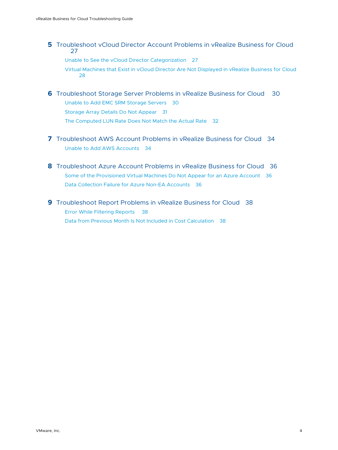**5** [Troubleshoot vCloud Director Account Problems in vRealize Business for Cloud](#page-26-0) [27](#page-26-0)

[Unable to See the vCloud Director Categorization](#page-26-0) 27

[Virtual Machines that Exist in vCloud Director Are Not Displayed in vRealize Business for Cloud](#page-27-0) [28](#page-27-0)

- **6** [Troubleshoot Storage Server Problems in vRealize Business for Cloud](#page-29-0) 30 [Unable to Add EMC SRM Storage Servers](#page-29-0) 30 [Storage Array Details Do Not Appear](#page-30-0) 31 [The Computed LUN Rate Does Not Match the Actual Rate](#page-31-0) 32
- **7** [Troubleshoot AWS Account Problems in vRealize Business for Cloud](#page-33-0) 34 [Unable to Add AWS Accounts](#page-33-0) 34
- **8** [Troubleshoot Azure Account Problems in vRealize Business for Cloud](#page-35-0) 36 [Some of the Provisioned Virtual Machines Do Not Appear for an Azure Account](#page-35-0) 36 [Data Collection Failure for Azure Non-EA Accounts](#page-35-0) 36
- **9** [Troubleshoot Report Problems in vRealize Business for Cloud](#page-37-0) 38 [Error While Filtering Reports 38](#page-37-0) [Data from Previous Month Is Not Included in Cost Calculation](#page-37-0) 38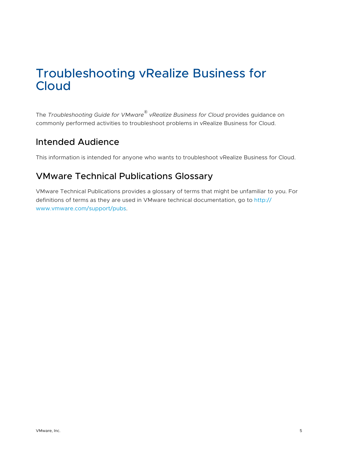## <span id="page-4-0"></span>Troubleshooting vRealize Business for Cloud

The *Troubleshooting Guide for VMware® vRealize Business for Cloud* provides guidance on commonly performed activities to troubleshoot problems in vRealize Business for Cloud.

## Intended Audience

This information is intended for anyone who wants to troubleshoot vRealize Business for Cloud.

## VMware Technical Publications Glossary

VMware Technical Publications provides a glossary of terms that might be unfamiliar to you. For definitions of terms as they are used in VMware technical documentation, go to [http://](http://www.vmware.com/support/pubs) [www.vmware.com/support/pubs.](http://www.vmware.com/support/pubs)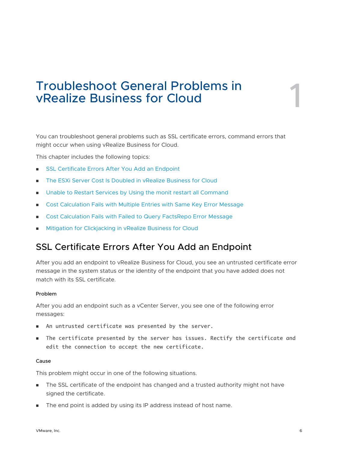# <span id="page-5-0"></span>Troubleshoot General Problems in vRealize Business for Cloud 1

You can troubleshoot general problems such as SSL certificate errors, command errors that might occur when using vRealize Business for Cloud.

This chapter includes the following topics:

- **n** SSL Certificate Errors After You Add an Endpoint
- [The ESXi Server Cost Is Doubled in vRealize Business for Cloud](#page-6-0)
- <sup>n</sup> [Unable to Restart Services by Using the monit restart all Command](#page-6-0)
- <sup>n</sup> [Cost Calculation Fails with Multiple Entries with Same Key Error Message](#page-7-0)
- [Cost Calculation Fails with Failed to Query FactsRepo Error Message](#page-8-0)
- [Mitigation for Clickjacking in vRealize Business for Cloud](#page-9-0)

## SSL Certificate Errors After You Add an Endpoint

After you add an endpoint to vRealize Business for Cloud, you see an untrusted certificate error message in the system status or the identity of the endpoint that you have added does not match with its SSL certificate.

#### Problem

After you add an endpoint such as a vCenter Server, you see one of the following error messages:

- <sup>n</sup> An untrusted certificate was presented by the server.
- <sup>n</sup> The certificate presented by the server has issues. Rectify the certificate and edit the connection to accept the new certificate.

#### Cause

This problem might occur in one of the following situations.

- n The SSL certificate of the endpoint has changed and a trusted authority might not have signed the certificate.
- **n** The end point is added by using its IP address instead of host name.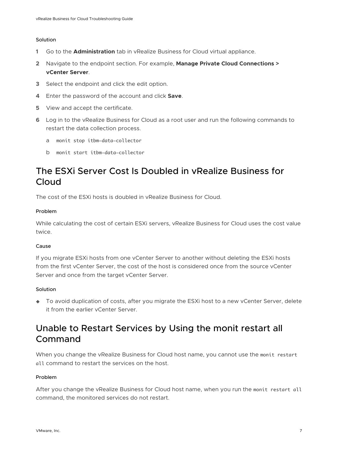#### <span id="page-6-0"></span>Solution

- **1** Go to the **Administration** tab in vRealize Business for Cloud virtual appliance.
- **2** Navigate to the endpoint section. For example, **Manage Private Cloud Connections > vCenter Server**.
- **3** Select the endpoint and click the edit option.
- **4** Enter the password of the account and click **Save**.
- **5** View and accept the certificate.
- **6** Log in to the vRealize Business for Cloud as a root user and run the following commands to restart the data collection process.
	- a monit stop itbm-data-collector
	- b monit start itbm-data-collector

## The ESXi Server Cost Is Doubled in vRealize Business for Cloud

The cost of the ESXi hosts is doubled in vRealize Business for Cloud.

#### Problem

While calculating the cost of certain ESXi servers, vRealize Business for Cloud uses the cost value twice.

#### Cause

If you migrate ESXi hosts from one vCenter Server to another without deleting the ESXi hosts from the first vCenter Server, the cost of the host is considered once from the source vCenter Server and once from the target vCenter Server.

#### Solution

◆ To avoid duplication of costs, after you migrate the ESXi host to a new vCenter Server, delete it from the earlier vCenter Server.

## Unable to Restart Services by Using the monit restart all Command

When you change the vRealize Business for Cloud host name, you cannot use the monit restart all command to restart the services on the host.

#### Problem

After you change the vRealize Business for Cloud host name, when you run the monit restart all command, the monitored services do not restart.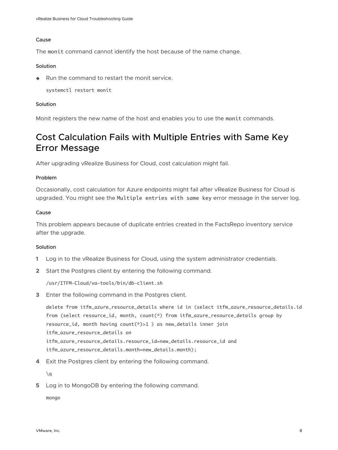#### <span id="page-7-0"></span>Cause

The monit command cannot identify the host because of the name change.

#### **Solution**

 $\triangle$  Run the command to restart the monit service.

systemctl restart monit

#### Solution

Monit registers the new name of the host and enables you to use the monit commands.

## Cost Calculation Fails with Multiple Entries with Same Key Error Message

After upgrading vRealize Business for Cloud, cost calculation might fail.

#### Problem

Occasionally, cost calculation for Azure endpoints might fail after vRealize Business for Cloud is upgraded. You might see the Multiple entries with same key error message in the server log.

#### Cause

This problem appears because of duplicate entries created in the FactsRepo inventory service after the upgrade.

#### Solution

- **1** Log in to the vRealize Business for Cloud, using the system administrator credentials.
- **2** Start the Postgres client by entering the following command.

/usr/ITFM-Cloud/va-tools/bin/db-client.sh

**3** Enter the following command in the Postgres client.

delete from itfm\_azure\_resource\_details where id in (select itfm\_azure\_resource\_details.id from (select resource\_id, month, count(\*) from itfm\_azure\_resource\_details group by resource\_id, month having count(\*)>1 ) as new\_details inner join itfm\_azure\_resource\_details on itfm\_azure\_resource\_details.resource\_id=new\_details.resource\_id and itfm\_azure\_resource\_details.month=new\_details.month);

**4** Exit the Postgres client by entering the following command.

 $\qquad q$ 

**5** Log in to MongoDB by entering the following command.

mongo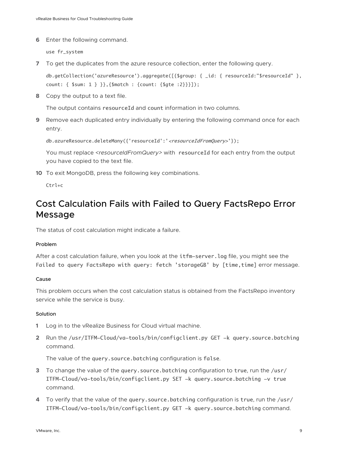<span id="page-8-0"></span>**6** Enter the following command.

use fr\_system

**7** To get the duplicates from the azure resource collection, enter the following query.

db.getCollection('azureResource').aggregate([{\$group: { \_id: { resourceId:"\$resourceId" }, count: { \$sum: 1 } }},{\$match : {count: {\$gte :2}}}]);

**8** Copy the output to a text file.

The output contains resourceId and count information in two columns.

**9** Remove each duplicated entry individually by entering the following command once for each entry.

db.azureResource.deleteMany({'resourceId':'<resourceIdFromQuery>'});

You must replace *<resourceIdFromQuery>* with resourceId for each entry from the output you have copied to the text file.

**10** To exit MongoDB, press the following key combinations.

Ctrl+c

## Cost Calculation Fails with Failed to Query FactsRepo Error Message

The status of cost calculation might indicate a failure.

#### Problem

After a cost calculation failure, when you look at the itfm-server.log file, you might see the Failed to query FactsRepo with query: fetch 'storageGB' by [time,time] error message.

#### Cause

This problem occurs when the cost calculation status is obtained from the FactsRepo inventory service while the service is busy.

#### Solution

- **1** Log in to the vRealize Business for Cloud virtual machine.
- **2** Run the /usr/ITFM-Cloud/va-tools/bin/configclient.py GET -k query.source.batching command.

The value of the query.source.batching configuration is false.

- **3** To change the value of the query.source.batching configuration to true, run the /usr/ ITFM-Cloud/va-tools/bin/configclient.py SET -k query.source.batching -v true command.
- **4** To verify that the value of the query.source.batching configuration is true, run the /usr/ ITFM-Cloud/va-tools/bin/configclient.py GET -k query.source.batching command.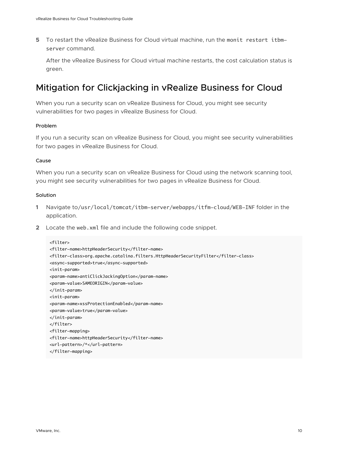<span id="page-9-0"></span>**5** To restart the vRealize Business for Cloud virtual machine, run the monit restart itbmserver command.

After the vRealize Business for Cloud virtual machine restarts, the cost calculation status is green.

## Mitigation for Clickjacking in vRealize Business for Cloud

When you run a security scan on vRealize Business for Cloud, you might see security vulnerabilities for two pages in vRealize Business for Cloud.

#### Problem

If you run a security scan on vRealize Business for Cloud, you might see security vulnerabilities for two pages in vRealize Business for Cloud.

#### Cause

When you run a security scan on vRealize Business for Cloud using the network scanning tool, you might see security vulnerabilities for two pages in vRealize Business for Cloud.

#### **Solution**

- **1** Navigate to/usr/local/tomcat/itbm-server/webapps/itfm-cloud/WEB-INF folder in the application.
- **2** Locate the web.xml file and include the following code snippet.

```
<filter>
<filter-name>httpHeaderSecurity</filter-name>
<filter-class>org.apache.catalina.filters.HttpHeaderSecurityFilter</filter-class>
<async-supported>true</async-supported>
<init-param>
<param-name>antiClickJackingOption</param-name>
<param-value>SAMEORIGIN</param-value>
</init-param>
<init-param>
<param-name>xssProtectionEnabled</param-name>
<param-value>true</param-value>
</init-param>
</filter>
<filter-mapping>
<filter-name>httpHeaderSecurity</filter-name>
<url-pattern>/*</url-pattern> 
</filter-mapping>
```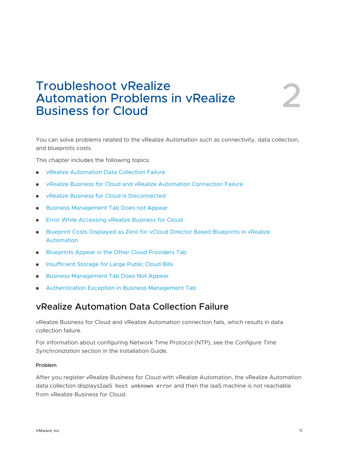## <span id="page-10-0"></span>Troubleshoot vRealize Automation Problems in vRealize Troubleshoot vRealize<br>Automation Problems in vRealize<br>Business for Cloud

You can solve problems related to the vRealize Automation such as connectivity, data collection, and blueprints costs.

This chapter includes the following topics:

- **n vRealize Automation Data Collection Failure**
- **n** [vRealize Business for Cloud and vRealize Automation Connection Failure](#page-11-0)
- <sup>n</sup> [vRealize Business for Cloud Is Disconnected](#page-12-0)
- [Business Management Tab Does not Appear](#page-13-0)
- **[Error While Accessing vRealize Business for Cloud](#page-13-0)**
- **n** Blueprint Costs Displayed as Zero for vCloud Director Based Blueprints in vRealize [Automation](#page-14-0)
- **n** [Blueprints Appear in the Other Cloud Providers Tab](#page-15-0)
- **n** [Insufficient Storage for Large Public Cloud Bills](#page-15-0)
- **n** [Business Management Tab Does Not Appear](#page-16-0)
- <sup>n</sup> [Authentication Exception in Business Management Tab](#page-17-0)

## vRealize Automation Data Collection Failure

vRealize Business for Cloud and vRealize Automation connection fails, which results in data collection failure.

For information about configuring Network Time Protocol (NTP), see the *Configure Time Synchronization* section in the Installation Guide.

#### Problem

After you register vRealize Business for Cloud with vRealize Automation, the vRealize Automation data collection displaysIaaS host unknown error and then the IaaS machine is not reachable from vRealize Business for Cloud.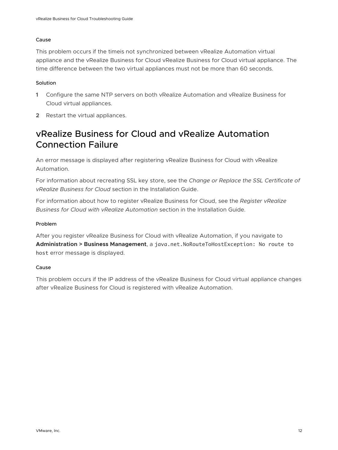#### <span id="page-11-0"></span>Cause

This problem occurs if the timeis not synchronized between vRealize Automation virtual appliance and the vRealize Business for Cloud vRealize Business for Cloud virtual appliance. The time difference between the two virtual appliances must not be more than 60 seconds.

#### **Solution**

- **1** Configure the same NTP servers on both vRealize Automation and vRealize Business for Cloud virtual appliances.
- **2** Restart the virtual appliances.

## vRealize Business for Cloud and vRealize Automation Connection Failure

An error message is displayed after registering vRealize Business for Cloud with vRealize Automation.

For information about recreating SSL key store, see the *Change or Replace the SSL Certificate of vRealize Business for Cloud* section in the Installation Guide.

For information about how to register vRealize Business for Cloud, see the *Register vRealize Business for Cloud with vRealize Automation* section in the Installation Guide.

#### Problem

After you register vRealize Business for Cloud with vRealize Automation, if you navigate to **Administration > Business Management**, a java.net.NoRouteToHostException: No route to host error message is displayed.

#### Cause

This problem occurs if the IP address of the vRealize Business for Cloud virtual appliance changes after vRealize Business for Cloud is registered with vRealize Automation.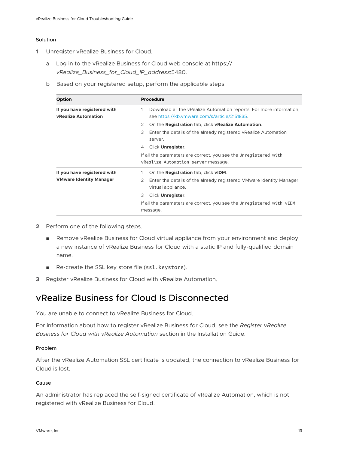#### <span id="page-12-0"></span>Solution

- **1** Unregister vRealize Business for Cloud.
	- a Log in to the vRealize Business for Cloud web console at https:// *vRealize\_Business\_for\_Cloud\_IP\_address*:5480.
	- b Based on your registered setup, perform the applicable steps.

| <b>Option</b>                                                 | <b>Procedure</b>                                                                                                         |
|---------------------------------------------------------------|--------------------------------------------------------------------------------------------------------------------------|
| If you have registered with<br><b>vRealize Automation</b>     | Download all the vRealize Automation reports. For more information,<br>1<br>see https://kb.vmware.com/s/article/2151835. |
|                                                               | On the <b>Registration</b> tab, click <b>vRealize Automation</b> .<br>2                                                  |
|                                                               | 3<br>Enter the details of the already registered vRealize Automation<br>server.                                          |
|                                                               | Click Unregister.<br>4                                                                                                   |
|                                                               | If all the parameters are correct, you see the Unregistered with                                                         |
|                                                               | vRealize Automation server message.                                                                                      |
| If you have registered with<br><b>VMware Identity Manager</b> | On the <b>Registration</b> tab, click vIDM.                                                                              |
|                                                               | Enter the details of the already registered VMware Identity Manager<br>2<br>virtual appliance.                           |
|                                                               | 3<br>Click Unregister.                                                                                                   |
|                                                               | If all the parameters are correct, you see the Unregistered with vIDM<br>message.                                        |

- **2** Perform one of the following steps.
	- n Remove vRealize Business for Cloud virtual appliance from your environment and deploy a new instance of vRealize Business for Cloud with a static IP and fully-qualified domain name.
	- Re-create the SSL key store file (ssl.keystore).
- **3** Register vRealize Business for Cloud with vRealize Automation.

## vRealize Business for Cloud Is Disconnected

You are unable to connect to vRealize Business for Cloud.

For information about how to register vRealize Business for Cloud, see the *Register vRealize Business for Cloud with vRealize Automation* section in the Installation Guide.

#### Problem

After the vRealize Automation SSL certificate is updated, the connection to vRealize Business for Cloud is lost.

#### Cause

An administrator has replaced the self-signed certificate of vRealize Automation, which is not registered with vRealize Business for Cloud.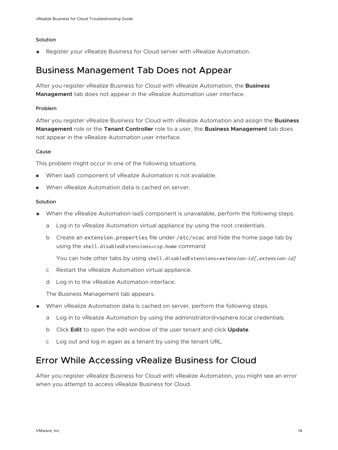#### <span id="page-13-0"></span>Solution

◆ Register your vRealize Business for Cloud server with vRealize Automation.

## Business Management Tab Does not Appear

After you register vRealize Business for Cloud with vRealize Automation, the **Business Management** tab does not appear in the vRealize Automation user interface.

#### Problem

After you register vRealize Business for Cloud with vRealize Automation and assign the **Business Management** role or the **Tenant Controller** role to a user, the **Business Management** tab does not appear in the vRealize Automation user interface.

#### Cause

This problem might occur in one of the following situations.

- **Notable 1** When IaaS component of vRealize Automation is not available.
- When vRealize Automation data is cached on server.

#### Solution

- <sup>u</sup> When the vRealize Automation IaaS component is unavailable, perform the following steps.
	- a Log in to vRealize Automation virtual appliance by using the root credentials.
	- b Create an extension.properties file under /etc/vcac and hide the home page tab by using the shell.disabledExtensions=csp.home command

You can hide other tabs by using shell.disabledExtensions=extension-id[, extension-id]

- c Restart the vRealize Automation virtual appliance.
- d Log in to the vRealize Automation interface.

The Business Management tab appears.

- When vRealize Automation data is cached on server, perform the following steps.
	- a Log in to vRealize Automation by using the administrator@vsphere.local credentials.
	- b Click **Edit** to open the edit window of the user tenant and click **Update**.
	- c Log out and log in again as a tenant by using the tenant URL.

## Error While Accessing vRealize Business for Cloud

After you register vRealize Business for Cloud with vRealize Automation, you might see an error when you attempt to access vRealize Business for Cloud.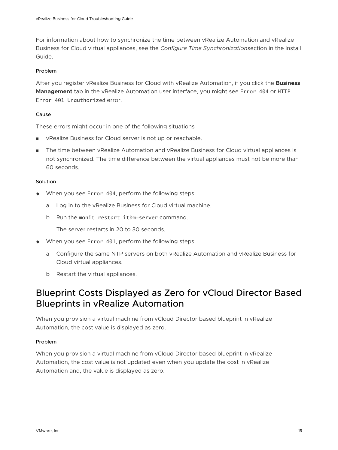<span id="page-14-0"></span>For information about how to synchronize the time between vRealize Automation and vRealize Business for Cloud virtual appliances, see the *Configure Time Synchronization*section in the Install Guide.

#### Problem

After you register vRealize Business for Cloud with vRealize Automation, if you click the **Business Management** tab in the vRealize Automation user interface, you might see Error 404 or HTTP Error 401 Unauthorized error.

#### Cause

These errors might occur in one of the following situations

- <sup>n</sup> vRealize Business for Cloud server is not up or reachable.
- The time between vRealize Automation and vRealize Business for Cloud virtual appliances is not synchronized. The time difference between the virtual appliances must not be more than 60 seconds.

#### **Solution**

- $\blacklozenge$  When you see Error 404, perform the following steps:
	- a Log in to the vRealize Business for Cloud virtual machine.
	- b Run the monit restart itbm-server command.

The server restarts in 20 to 30 seconds.

- $\bullet$  When you see Error 401, perform the following steps:
	- a Configure the same NTP servers on both vRealize Automation and vRealize Business for Cloud virtual appliances.
	- b Restart the virtual appliances.

## Blueprint Costs Displayed as Zero for vCloud Director Based Blueprints in vRealize Automation

When you provision a virtual machine from vCloud Director based blueprint in vRealize Automation, the cost value is displayed as zero.

#### Problem

When you provision a virtual machine from vCloud Director based blueprint in vRealize Automation, the cost value is not updated even when you update the cost in vRealize Automation and, the value is displayed as zero.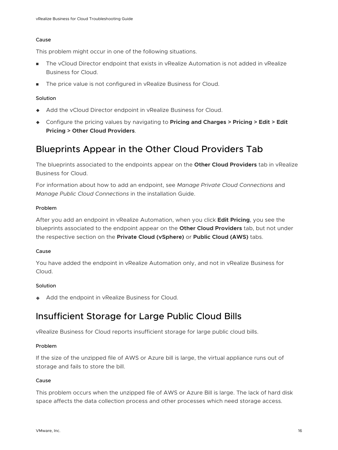#### <span id="page-15-0"></span>Cause

This problem might occur in one of the following situations.

- n The vCloud Director endpoint that exists in vRealize Automation is not added in vRealize Business for Cloud.
- **n** The price value is not configured in vRealize Business for Cloud.

#### **Solution**

- Add the vCloud Director endpoint in vRealize Business for Cloud.
- <sup>u</sup> Configure the pricing values by navigating to **Pricing and Charges > Pricing > Edit > Edit Pricing > Other Cloud Providers**.

## Blueprints Appear in the Other Cloud Providers Tab

The blueprints associated to the endpoints appear on the **Other Cloud Providers** tab in vRealize Business for Cloud.

For information about how to add an endpoint, see *Manage Private Cloud Connections* and *Manage Public Cloud Connections* in the installation Guide.

#### Problem

After you add an endpoint in vRealize Automation, when you click **Edit Pricing**, you see the blueprints associated to the endpoint appear on the **Other Cloud Providers** tab, but not under the respective section on the **Private Cloud (vSphere)** or **Public Cloud (AWS)** tabs.

#### Cause

You have added the endpoint in vRealize Automation only, and not in vRealize Business for Cloud.

#### **Solution**

 $\triangleleft$  Add the endpoint in vRealize Business for Cloud.

## Insufficient Storage for Large Public Cloud Bills

vRealize Business for Cloud reports insufficient storage for large public cloud bills.

#### Problem

If the size of the unzipped file of AWS or Azure bill is large, the virtual appliance runs out of storage and fails to store the bill.

#### Cause

This problem occurs when the unzipped file of AWS or Azure Bill is large. The lack of hard disk space affects the data collection process and other processes which need storage access.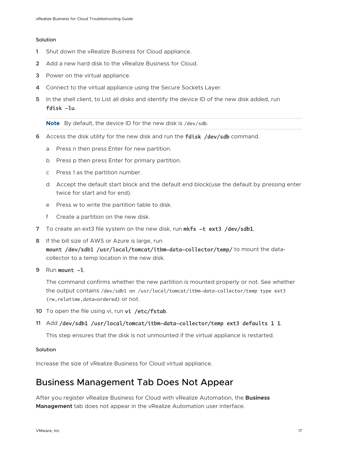#### <span id="page-16-0"></span>Solution

- **1** Shut down the vRealize Business for Cloud appliance.
- **2** Add a new hard disk to the vRealize Business for Cloud.
- **3** Power on the virtual appliance.
- **4** Connect to the virtual appliance using the Secure Sockets Layer.
- **5** In the shell client, to List all disks and identify the device ID of the new disk added, run fdisk -lu.

**Note** By default, the device ID for the new disk is /dev/sdb.

- **6** Access the disk utility for the new disk and run the **fdisk** /dev/sdb command.
	- a Press n then press Enter for new partition.
	- b Press p then press Enter for primary partition.
	- c Press 1 as the partition number.
	- d Accept the default start block and the default end block(use the default by pressing enter twice for start and for end).
	- e Press w to write the partition table to disk.
	- f Create a partition on the new disk.
- **7** To create an ext3 file system on the new disk, run mkfs -t ext3 /dev/sdb1.
- **8** If the bill size of AWS or Azure is large, run

mount /dev/sdb1 /usr/local/tomcat/itbm-data-collector/temp/ to mount the datacollector to a temp location in the new disk.

**9** Run mount -1.

The command confirms whether the new partition is mounted properly or not. See whether the output contains /dev/sdb1 on /usr/local/tomcat/itbm-data-collector/temp type ext3 (rw,relatime,data=ordered) or not.

10 To open the file using vi, run vi /etc/fstab.

#### **11** Add /dev/sdb1 /usr/local/tomcat/itbm-data-collector/temp ext3 defaults 1 1.

This step ensures that the disk is not unmounted if the virtual appliance is restarted.

#### **Solution**

Increase the size of vRealize Business for Cloud virtual appliance.

## Business Management Tab Does Not Appear

After you register vRealize Business for Cloud with vRealize Automation, the **Business Management** tab does not appear in the vRealize Automation user interface.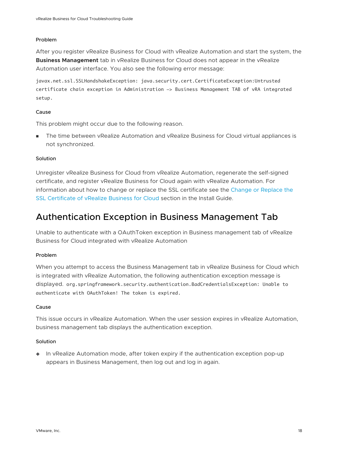#### <span id="page-17-0"></span>Problem

After you register vRealize Business for Cloud with vRealize Automation and start the system, the **Business Management** tab in vRealize Business for Cloud does not appear in the vRealize Automation user interface. You also see the following error message:

javax.net.ssl.SSLHandshakeException: java.security.cert.CertificateException:Untrusted certificate chain exception in Administration -> Business Management TAB of vRA integrated setup.

#### Cause

This problem might occur due to the following reason.

**n** The time between vRealize Automation and vRealize Business for Cloud virtual appliances is not synchronized.

#### Solution

Unregister vRealize Business for Cloud from vRealize Automation, regenerate the self-signed certificate, and register vRealize Business for Cloud again with vRealize Automation. For information about how to change or replace the SSL certificate see the [Change or Replace the](https://docs-staging.vmware.com/en/vRealize-Business/7.5/vRBforCloud.install.doc/GUID-5F3AB760-9B78-4593-9693-9CD7EDE8A2CE.html) [SSL Certificate of vRealize Business for Cloud](https://docs-staging.vmware.com/en/vRealize-Business/7.5/vRBforCloud.install.doc/GUID-5F3AB760-9B78-4593-9693-9CD7EDE8A2CE.html) section in the Install Guide.

## Authentication Exception in Business Management Tab

Unable to authenticate with a OAuthToken exception in Business management tab of vRealize Business for Cloud integrated with vRealize Automation

#### Problem

When you attempt to access the Business Management tab in vRealize Business for Cloud which is integrated with vRealize Automation, the following authentication exception message is displayed. org.springframework.security.authentication.BadCredentialsException: Unable to authenticate with OAuthToken! The token is expired.

#### Cause

This issue occurs in vRealize Automation. When the user session expires in vRealize Automation, business management tab displays the authentication exception.

#### **Solution**

 $\bullet$  In vRealize Automation mode, after token expiry if the authentication exception pop-up appears in Business Management, then log out and log in again.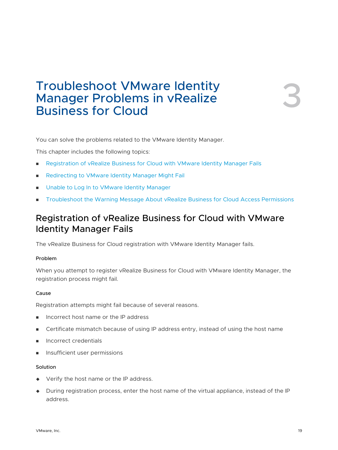## <span id="page-18-0"></span>Troubleshoot VMware Identity<br>Manager Problems in vRealize<br>Business for Cloud Manager Problems in vRealize

You can solve the problems related to the VMware Identity Manager.

This chapter includes the following topics:

- **n** Registration of vRealize Business for Cloud with VMware Identity Manager Fails
- [Redirecting to VMware Identity Manager Might Fail](#page-19-0)
- [Unable to Log In to VMware Identity Manager](#page-19-0)
- <sup>n</sup> [Troubleshoot the Warning Message About vRealize Business for Cloud Access Permissions](#page-20-0)

## Registration of vRealize Business for Cloud with VMware Identity Manager Fails

The vRealize Business for Cloud registration with VMware Identity Manager fails.

#### Problem

When you attempt to register vRealize Business for Cloud with VMware Identity Manager, the registration process might fail.

#### Cause

Registration attempts might fail because of several reasons.

- **n** Incorrect host name or the IP address
- n Certificate mismatch because of using IP address entry, instead of using the host name
- n Incorrect credentials
- **n** Insufficient user permissions

#### Solution

- $\blacklozenge$  Verify the host name or the IP address.
- <sup>u</sup> During registration process, enter the host name of the virtual appliance, instead of the IP address.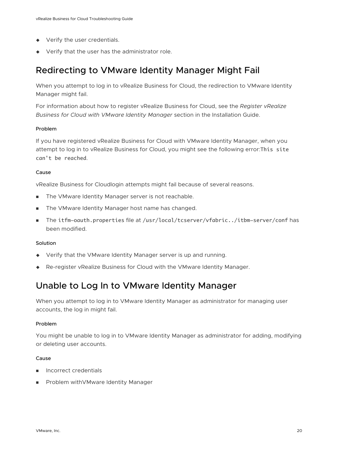- <span id="page-19-0"></span> $\blacklozenge$  Verify the user credentials.
- $\blacklozenge$  Verify that the user has the administrator role.

## Redirecting to VMware Identity Manager Might Fail

When you attempt to log in to vRealize Business for Cloud, the redirection to VMware Identity Manager might fail.

For information about how to register vRealize Business for Cloud, see the *Register vRealize Business for Cloud with VMware Identity Manager* section in the Installation Guide.

#### Problem

If you have registered vRealize Business for Cloud with VMware Identity Manager, when you attempt to log in to vRealize Business for Cloud, you might see the following error:This site can't be reached.

#### Cause

vRealize Business for Cloudlogin attempts might fail because of several reasons.

- **n** The VMware Identity Manager server is not reachable.
- The VMware Identity Manager host name has changed.
- <sup>n</sup> The itfm-oauth.properties file at /usr/local/tcserver/vfabric../itbm-server/conf has been modified.

#### Solution

- $\blacklozenge$  Verify that the VMware Identity Manager server is up and running.
- ◆ Re-register vRealize Business for Cloud with the VMware Identity Manager.

## Unable to Log In to VMware Identity Manager

When you attempt to log in to VMware Identity Manager as administrator for managing user accounts, the log in might fail.

#### Problem

You might be unable to log in to VMware Identity Manager as administrator for adding, modifying or deleting user accounts.

#### Cause

- **n** Incorrect credentials
- n Problem with VMware Identity Manager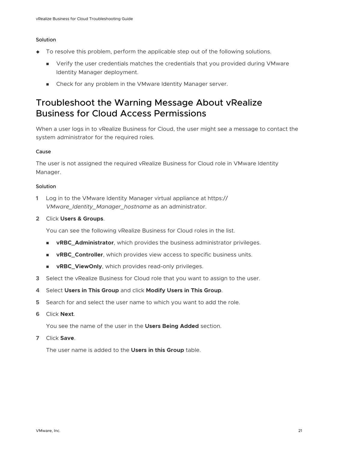#### <span id="page-20-0"></span>Solution

- $\bullet$  To resolve this problem, perform the applicable step out of the following solutions.
	- **n** Verify the user credentials matches the credentials that you provided during VMware Identity Manager deployment.
	- **n** Check for any problem in the VMware Identity Manager server.

## Troubleshoot the Warning Message About vRealize Business for Cloud Access Permissions

When a user logs in to vRealize Business for Cloud, the user might see a message to contact the system administrator for the required roles.

#### Cause

The user is not assigned the required vRealize Business for Cloud role in VMware Identity Manager.

#### Solution

- **1** Log in to the VMware Identity Manager virtual appliance at https:// *VMware\_Identity\_Manager\_hostname* as an administrator.
- **2** Click **Users & Groups**.

You can see the following vRealize Business for Cloud roles in the list.

- **n vRBC\_Administrator**, which provides the business administrator privileges.
- **NORBC\_Controller**, which provides view access to specific business units.
- **n vRBC\_ViewOnly**, which provides read-only privileges.
- **3** Select the vRealize Business for Cloud role that you want to assign to the user.
- **4** Select **Users in This Group** and click **Modify Users in This Group**.
- **5** Search for and select the user name to which you want to add the role.
- **6** Click **Next**.

You see the name of the user in the **Users Being Added** section.

**7** Click **Save**.

The user name is added to the **Users in this Group** table.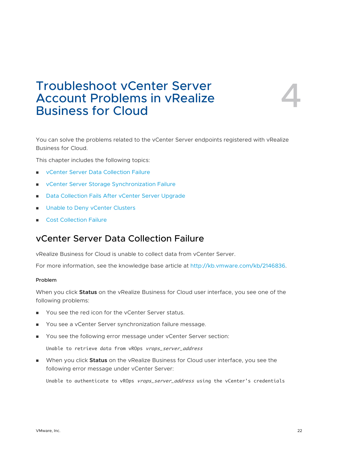## <span id="page-21-0"></span>Troubleshoot vCenter Server Account Problems in vRealize Troubleshoot vCenter Server<br>Account Problems in vRealize<br>Business for Cloud

You can solve the problems related to the vCenter Server endpoints registered with vRealize Business for Cloud.

This chapter includes the following topics:

- <sup>n</sup> vCenter Server Data Collection Failure
- <sup>n</sup> [vCenter Server Storage Synchronization Failure](#page-22-0)
- <sup>n</sup> [Data Collection Fails After vCenter Server Upgrade](#page-23-0)
- [Unable to Deny vCenter Clusters](#page-24-0)
- **n** [Cost Collection Failure](#page-24-0)

## vCenter Server Data Collection Failure

vRealize Business for Cloud is unable to collect data from vCenter Server.

For more information, see the knowledge base article at <http://kb.vmware.com/kb/2146836>.

#### Problem

When you click **Status** on the vRealize Business for Cloud user interface, you see one of the following problems:

- You see the red icon for the vCenter Server status.
- <sup>n</sup> You see a vCenter Server synchronization failure message.
- **Nou see the following error message under vCenter Server section:**

Unable to retrieve data from vROps vrops\_server\_address

**Nen you click Status** on the vRealize Business for Cloud user interface, you see the following error message under vCenter Server:

Unable to authenticate to vROps vrops\_server\_address using the vCenter's credentials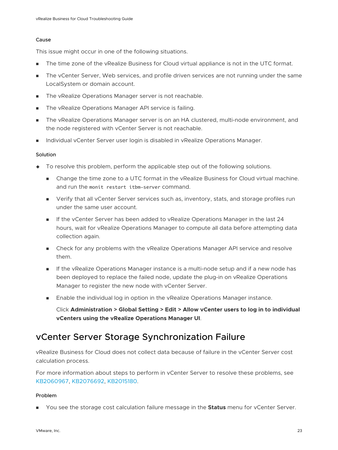#### <span id="page-22-0"></span>Cause

This issue might occur in one of the following situations.

- **n** The time zone of the vRealize Business for Cloud virtual appliance is not in the UTC format.
- n The vCenter Server, Web services, and profile driven services are not running under the same LocalSystem or domain account.
- The vRealize Operations Manager server is not reachable.
- The vRealize Operations Manager API service is failing.
- **n** The vRealize Operations Manager server is on an HA clustered, multi-node environment, and the node registered with vCenter Server is not reachable.
- Individual vCenter Server user login is disabled in vRealize Operations Manager.

#### **Solution**

- To resolve this problem, perform the applicable step out of the following solutions.
	- <sup>n</sup> Change the time zone to a UTC format in the vRealize Business for Cloud virtual machine. and run the monit restart itbm-server command.
	- <sup>n</sup> Verify that all vCenter Server services such as, inventory, stats, and storage profiles run under the same user account.
	- **n** If the vCenter Server has been added to vRealize Operations Manager in the last 24 hours, wait for vRealize Operations Manager to compute all data before attempting data collection again.
	- n Check for any problems with the vRealize Operations Manager API service and resolve them.
	- **n** If the vRealize Operations Manager instance is a multi-node setup and if a new node has been deployed to replace the failed node, update the plug-in on vRealize Operations Manager to register the new node with vCenter Server.
	- **n** Enable the individual log in option in the vRealize Operations Manager instance.

Click **Administration > Global Setting > Edit > Allow vCenter users to log in to individual vCenters using the vRealize Operations Manager UI**.

## vCenter Server Storage Synchronization Failure

vRealize Business for Cloud does not collect data because of failure in the vCenter Server cost calculation process.

For more information about steps to perform in vCenter Server to resolve these problems, see [KB2060967,](http://kb.vmware.com/selfservice/microsites/search.do?language=en_US&cmd=displayKC&externalId=2060967) [KB2076692](http://kb.vmware.com/selfservice/microsites/search.do?language=en_US&cmd=displayKC&externalId=2076692), [KB2015180.](http://kb.vmware.com/selfservice/microsites/search.do?language=en_US&cmd=displayKC&externalId=2015180)

#### Problem

**n** You see the storage cost calculation failure message in the **Status** menu for vCenter Server.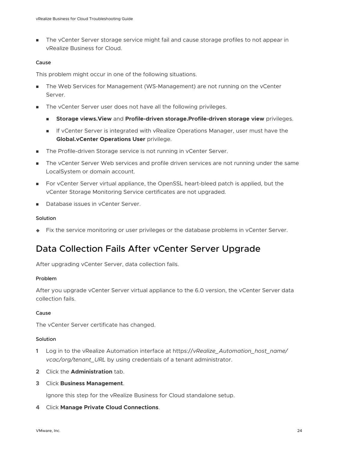<span id="page-23-0"></span>**n** The vCenter Server storage service might fail and cause storage profiles to not appear in vRealize Business for Cloud.

#### Cause

This problem might occur in one of the following situations.

- **n** The Web Services for Management (WS-Management) are not running on the vCenter Server.
- The vCenter Server user does not have all the following privileges.
	- <sup>n</sup> **Storage views.View** and **Profile-driven storage.Profile-driven storage view** privileges.
	- **n** If vCenter Server is integrated with vRealize Operations Manager, user must have the **Global.vCenter Operations User** privilege.
- The Profile-driven Storage service is not running in vCenter Server.
- The vCenter Server Web services and profile driven services are not running under the same LocalSystem or domain account.
- **n** For vCenter Server virtual appliance, the OpenSSL heart-bleed patch is applied, but the vCenter Storage Monitoring Service certificates are not upgraded.
- Database issues in vCenter Server.

#### Solution

 $\blacklozenge$  Fix the service monitoring or user privileges or the database problems in vCenter Server.

## Data Collection Fails After vCenter Server Upgrade

After upgrading vCenter Server, data collection fails.

#### Problem

After you upgrade vCenter Server virtual appliance to the 6.0 version, the vCenter Server data collection fails.

#### Cause

The vCenter Server certificate has changed.

#### **Solution**

- **1** Log in to the vRealize Automation interface at https://*vRealize\_Automation\_host\_name/ vcac/org/tenant\_URL* by using credentials of a tenant administrator.
- **2** Click the **Administration** tab.
- **3** Click **Business Management**.

Ignore this step for the vRealize Business for Cloud standalone setup.

**4** Click **Manage Private Cloud Connections**.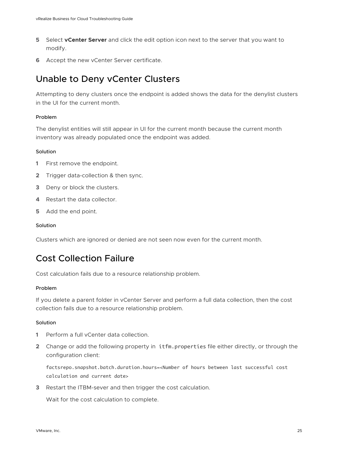- <span id="page-24-0"></span>**5** Select **vCenter Server** and click the edit option icon next to the server that you want to modify.
- **6** Accept the new vCenter Server certificate.

## Unable to Deny vCenter Clusters

Attempting to deny clusters once the endpoint is added shows the data for the denylist clusters in the UI for the current month.

#### Problem

The denylist entities will still appear in UI for the current month because the current month inventory was already populated once the endpoint was added.

#### **Solution**

- **1** First remove the endpoint.
- **2** Trigger data-collection & then sync.
- **3** Deny or block the clusters.
- **4** Restart the data collector.
- **5** Add the end point.

#### Solution

Clusters which are ignored or denied are not seen now even for the current month.

## Cost Collection Failure

Cost calculation fails due to a resource relationship problem.

#### Problem

If you delete a parent folder in vCenter Server and perform a full data collection, then the cost collection fails due to a resource relationship problem.

#### Solution

- **1** Perform a full vCenter data collection.
- **2** Change or add the following property in itfm.properties file either directly, or through the configuration client:

factsrepo.snapshot.batch.duration.hours=<Number of hours between last successful cost calculation and current date>

**3** Restart the ITBM-sever and then trigger the cost calculation.

Wait for the cost calculation to complete.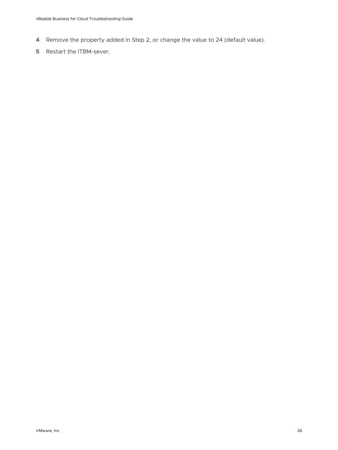- **4** Remove the property added in Step 2, or change the value to 24 (default value).
- **5** Restart the ITBM-sever.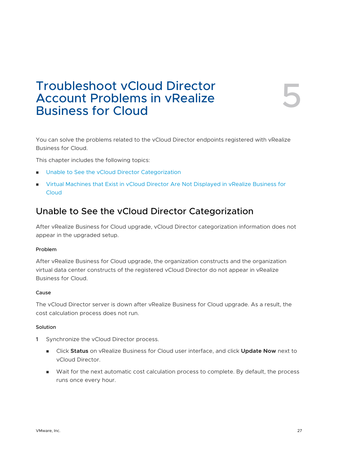## <span id="page-26-0"></span>Troubleshoot vCloud Director Account Problems in vRealize Troubleshoot vCloud Director<br>Account Problems in vRealize<br>Business for Cloud

You can solve the problems related to the vCloud Director endpoints registered with vRealize Business for Cloud.

This chapter includes the following topics:

- Unable to See the vCloud Director Categorization
- **n** [Virtual Machines that Exist in vCloud Director Are Not Displayed in vRealize Business for](#page-27-0) **[Cloud](#page-27-0)**

## Unable to See the vCloud Director Categorization

After vRealize Business for Cloud upgrade, vCloud Director categorization information does not appear in the upgraded setup.

#### Problem

After vRealize Business for Cloud upgrade, the organization constructs and the organization virtual data center constructs of the registered vCloud Director do not appear in vRealize Business for Cloud.

#### Cause

The vCloud Director server is down after vRealize Business for Cloud upgrade. As a result, the cost calculation process does not run.

#### Solution

- **1** Synchronize the vCloud Director process.
	- <sup>n</sup> Click **Status** on vRealize Business for Cloud user interface, and click **Update Now** next to vCloud Director.
	- **n** Wait for the next automatic cost calculation process to complete. By default, the process runs once every hour.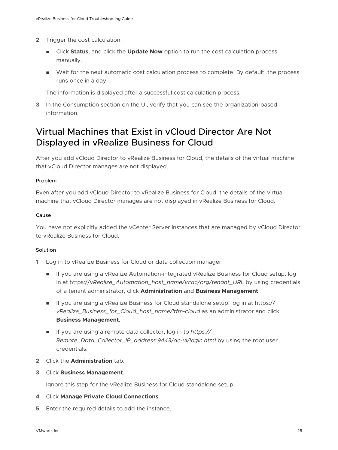- <span id="page-27-0"></span>**2** Trigger the cost calculation.
	- <sup>n</sup> Click **Status**, and click the **Update Now** option to run the cost calculation process manually.
	- <sup>n</sup> Wait for the next automatic cost calculation process to complete. By default, the process runs once in a day.

The information is displayed after a successful cost calculation process.

**3** In the Consumption section on the UI, verify that you can see the organization-based information.

## Virtual Machines that Exist in vCloud Director Are Not Displayed in vRealize Business for Cloud

After you add vCloud Director to vRealize Business for Cloud, the details of the virtual machine that vCloud Director manages are not displayed.

#### Problem

Even after you add vCloud Director to vRealize Business for Cloud, the details of the virtual machine that vCloud Director manages are not displayed in vRealize Business for Cloud.

#### Cause

You have not explicitly added the vCenter Server instances that are managed by vCloud Director to vRealize Business for Cloud.

#### **Solution**

- **1** Log in to vRealize Business for Cloud or data collection manager:
	- <sup>n</sup> If you are using a vRealize Automation-integrated vRealize Business for Cloud setup, log in at https://*vRealize\_Automation\_host\_name/vcac/org/tenant\_URL* by using credentials of a tenant administrator, click **Administration** and **Business Management**.
	- <sup>n</sup> If you are using a vRealize Business for Cloud standalone setup, log in at https:// *vRealize\_Business\_for\_Cloud\_host\_name/itfm-cloud* as an administrator and click **Business Management**.
	- <sup>n</sup> If you are using a remote data collector, log in to *https:// Remote\_Data\_Collector\_IP\_address:9443/dc-ui/login.html* by using the root user credentials.
- **2** Click the **Administration** tab.
- **3** Click **Business Management**.

Ignore this step for the vRealize Business for Cloud standalone setup.

- **4** Click **Manage Private Cloud Connections**.
- **5** Enter the required details to add the instance.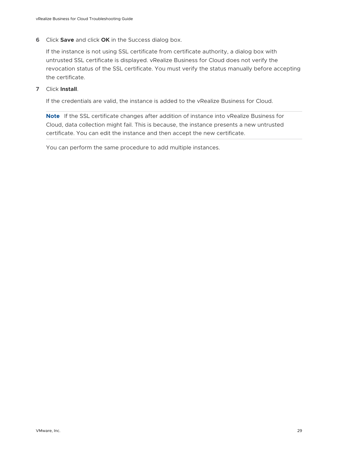**6** Click **Save** and click **OK** in the Success dialog box.

If the instance is not using SSL certificate from certificate authority, a dialog box with untrusted SSL certificate is displayed. vRealize Business for Cloud does not verify the revocation status of the SSL certificate. You must verify the status manually before accepting the certificate.

**7** Click **Install**.

If the credentials are valid, the instance is added to the vRealize Business for Cloud.

**Note** If the SSL certificate changes after addition of instance into vRealize Business for Cloud, data collection might fail. This is because, the instance presents a new untrusted certificate. You can edit the instance and then accept the new certificate.

You can perform the same procedure to add multiple instances.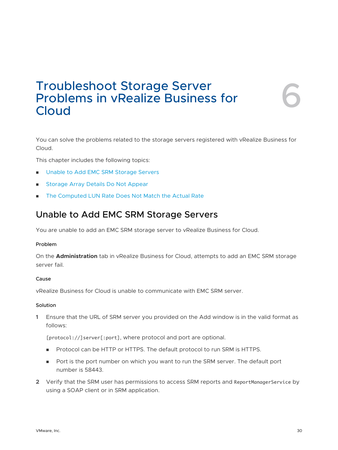## <span id="page-29-0"></span>Troubleshoot Storage Server Problems in vRealize Business for Troubleshoot Storage Server<br>Problems in vRealize Business for<br>Cloud

You can solve the problems related to the storage servers registered with vRealize Business for Cloud.

This chapter includes the following topics:

- Unable to Add EMC SRM Storage Servers
- **n [Storage Array Details Do Not Appear](#page-30-0)**
- [The Computed LUN Rate Does Not Match the Actual Rate](#page-31-0)

## Unable to Add EMC SRM Storage Servers

You are unable to add an EMC SRM storage server to vRealize Business for Cloud.

#### Problem

On the **Administration** tab in vRealize Business for Cloud, attempts to add an EMC SRM storage server fail.

#### Cause

vRealize Business for Cloud is unable to communicate with EMC SRM server.

#### Solution

**1** Ensure that the URL of SRM server you provided on the Add window is in the valid format as follows:

[protocol://]server[:port], where protocol and port are optional.

- **n** Protocol can be HTTP or HTTPS. The default protocol to run SRM is HTTPS.
- n Port is the port number on which you want to run the SRM server. The default port number is 58443.
- **2** Verify that the SRM user has permissions to access SRM reports and ReportManagerService by using a SOAP client or in SRM application.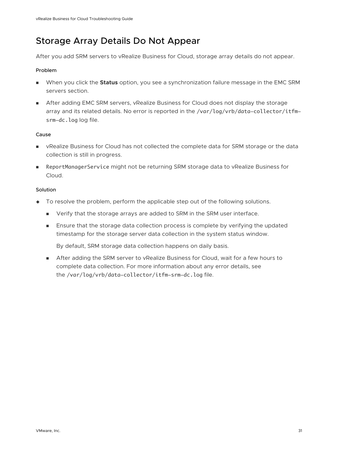## <span id="page-30-0"></span>Storage Array Details Do Not Appear

After you add SRM servers to vRealize Business for Cloud, storage array details do not appear.

#### Problem

- **Notable 10 When you click the <b>Status** option, you see a synchronization failure message in the EMC SRM servers section.
- **n** After adding EMC SRM servers, vRealize Business for Cloud does not display the storage array and its related details. No error is reported in the /var/log/vrb/data-collector/itfmsrm-dc.log log file.

#### Cause

- **n** vRealize Business for Cloud has not collected the complete data for SRM storage or the data collection is still in progress.
- ReportManagerService might not be returning SRM storage data to vRealize Business for Cloud.

#### Solution

- $\bullet$  To resolve the problem, perform the applicable step out of the following solutions.
	- <sup>n</sup> Verify that the storage arrays are added to SRM in the SRM user interface.
	- **n** Ensure that the storage data collection process is complete by verifying the updated timestamp for the storage server data collection in the system status window.

By default, SRM storage data collection happens on daily basis.

**n** After adding the SRM server to vRealize Business for Cloud, wait for a few hours to complete data collection. For more information about any error details, see the /var/log/vrb/data-collector/itfm-srm-dc.log file.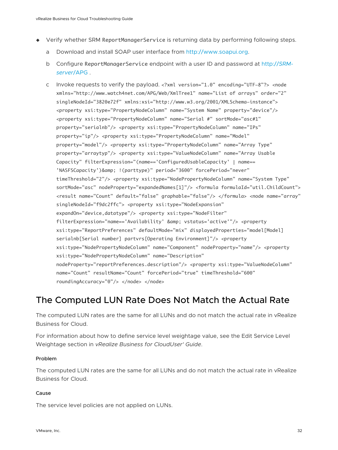- <span id="page-31-0"></span>◆ Verify whether SRM ReportManagerService is returning data by performing following steps.
	- a Download and install SOAP user interface from [http://www.soapui.org.](http://www.soapui.org/)
	- b Configure ReportManagerService endpoint with a user ID and password at http://*SRMserver*/APG .
	- c Invoke requests to verify the payload. <?xml version="1.0" encoding="UTF-8"?> <node xmlns="http://www.watch4net.com/APG/Web/XmlTree1" name="List of arrays" order="2" singleNodeId="3820e72f" xmlns:xsi="http://www.w3.org/2001/XMLSchema-instance"> <property xsi:type="PropertyNodeColumn" name="System Name" property="device"/> <property xsi:type="PropertyNodeColumn" name="Serial #" sortMode="asc#1" property="serialnb"/> <property xsi:type="PropertyNodeColumn" name="IPs" property="ip"/> <property xsi:type="PropertyNodeColumn" name="Model" property="model"/> <property xsi:type="PropertyNodeColumn" name="Array Type" property="arraytyp"/> <property xsi:type="ValueNodeColumn" name="Array Usable Capacity" filterExpression="(name=='ConfiguredUsableCapacity' | name== 'NASFSCapacity')& amp; !(parttype)" period="3600" forcePeriod="never" timeThreshold="2"/> <property xsi:type="NodePropertyNodeColumn" name="System Type" sortMode="asc" nodeProperty="expandedNames[1]"/> <formula formulaId="util.ChildCount"> <result name="Count" default="false" graphable="false"/> </formula> <node name="array" singleNodeId="f9dc2ffc"> <property xsi:type="NodeExpansion" expandOn="device,datatype"/> <property xsi:type="NodeFilter" filterExpression="name=='Availability' & amp; vstatus='active'"/> <property xsi:type="ReportPreferences" defaultMode="mix" displayedProperties="model[Model] serialnb[Serial number] partvrs[Operating Environment]"/> <property xsi:type="NodePropertyNodeColumn" name="Component" nodeProperty="name"/> <property xsi:type="NodePropertyNodeColumn" name="Description" nodeProperty="reportPreferences.description"/> <property xsi:type="ValueNodeColumn" name="Count" resultName="Count" forcePeriod="true" timeThreshold="600" roundingAccuracy="0"/> </node> </node>

## The Computed LUN Rate Does Not Match the Actual Rate

The computed LUN rates are the same for all LUNs and do not match the actual rate in vRealize Business for Cloud.

For information about how to define service level weightage value, see the Edit Service Level Weightage section in *vRealize Business for CloudUser' Guide*.

#### Problem

The computed LUN rates are the same for all LUNs and do not match the actual rate in vRealize Business for Cloud.

#### Cause

The service level policies are not applied on LUNs.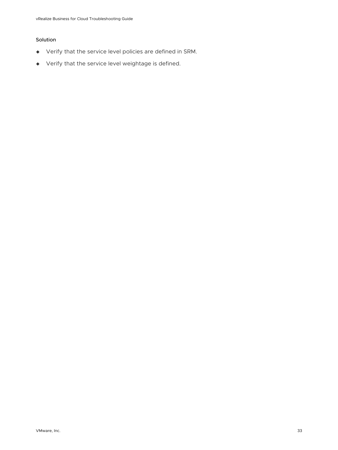#### Solution

- $\blacklozenge$  Verify that the service level policies are defined in SRM.
- $\blacklozenge$  Verify that the service level weightage is defined.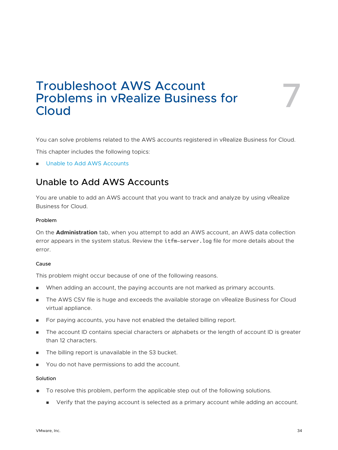## <span id="page-33-0"></span>Troubleshoot AWS Account Problems in vRealize Business for Troubleshoot AWS Account<br>Problems in vRealize Business for<br>Cloud

You can solve problems related to the AWS accounts registered in vRealize Business for Cloud.

This chapter includes the following topics:

**n** Unable to Add AWS Accounts

## Unable to Add AWS Accounts

You are unable to add an AWS account that you want to track and analyze by using vRealize Business for Cloud.

#### Problem

On the **Administration** tab, when you attempt to add an AWS account, an AWS data collection error appears in the system status. Review the itfm-server.log file for more details about the error.

#### Cause

This problem might occur because of one of the following reasons.

- **n** When adding an account, the paying accounts are not marked as primary accounts.
- The AWS CSV file is huge and exceeds the available storage on vRealize Business for Cloud virtual appliance.
- <sup>n</sup> For paying accounts, you have not enabled the detailed billing report.
- <sup>n</sup> The account ID contains special characters or alphabets or the length of account ID is greater than 12 characters.
- The billing report is unavailable in the S3 bucket.
- You do not have permissions to add the account.

#### Solution

- $\bullet$  To resolve this problem, perform the applicable step out of the following solutions.
	- **n** Verify that the paying account is selected as a primary account while adding an account.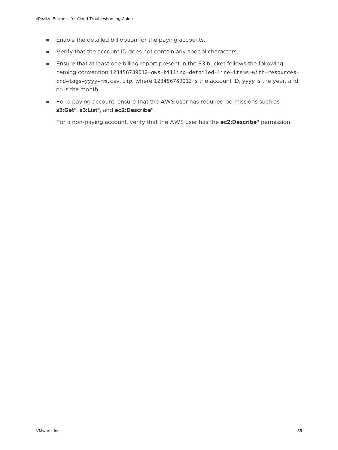- <sup>n</sup> Enable the detailed bill option for the paying accounts.
- <sup>n</sup> Verify that the account ID does not contain any special characters.
- **n** Ensure that at least one billing report present in the S3 bucket follows the following naming convention 123456789012-aws-billing-detailed-line-items-with-resourcesand-tags-yyyy-mm.csv.zip, where 123456789012 is the account ID, yyyy is the year, and mm is the month.
- <sup>n</sup> For a paying account, ensure that the AWS user has required permissions such as **s3:Get\***, **s3:List\***, and **ec2:Describe\***.

For a non-paying account, verify that the AWS user has the **ec2:Describe\*** permission.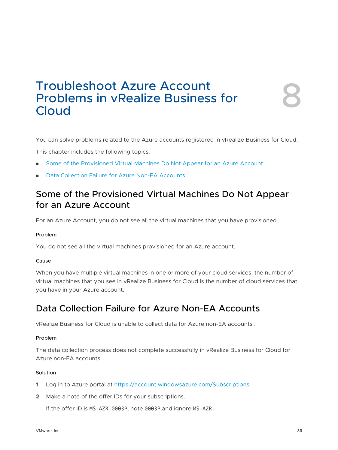## <span id="page-35-0"></span>Troubleshoot Azure Account Problems in vRealize Business for Troubleshoot Azure Account<br>Problems in vRealize Business for<br>Cloud

You can solve problems related to the Azure accounts registered in vRealize Business for Cloud.

This chapter includes the following topics:

- Some of the Provisioned Virtual Machines Do Not Appear for an Azure Account
- Data Collection Failure for Azure Non-EA Accounts

## Some of the Provisioned Virtual Machines Do Not Appear for an Azure Account

For an Azure Account, you do not see all the virtual machines that you have provisioned.

#### Problem

You do not see all the virtual machines provisioned for an Azure account.

#### Cause

When you have multiple virtual machines in one or more of your cloud services, the number of virtual machines that you see in vRealize Business for Cloud is the number of cloud services that you have in your Azure account.

## Data Collection Failure for Azure Non-EA Accounts

vRealize Business for Cloud is unable to collect data for Azure non-EA accounts .

#### Problem

The data collection process does not complete successfully in vRealize Business for Cloud for Azure non-EA accounts.

#### Solution

- **1** Log in to Azure portal at <https://account.windowsazure.com/Subscriptions>.
- **2** Make a note of the offer IDs for your subscriptions.

If the offer ID is MS-AZR-0003P, note 0003P and ignore MS-AZR-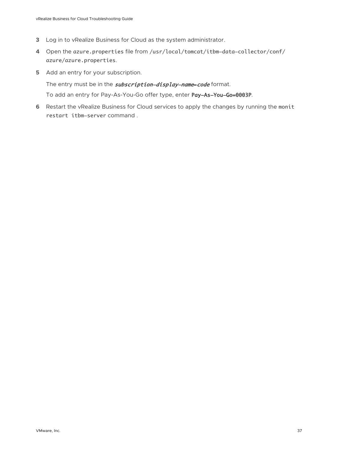- **3** Log in to vRealize Business for Cloud as the system administrator.
- **4** Open the azure.properties file from /usr/local/tomcat/itbm-data-collector/conf/ azure/azure.properties.
- **5** Add an entry for your subscription.

The entry must be in the **subscription-display-name=code** format. To add an entry for Pay-As-You-Go offer type, enter Pay-As-You-Go=0003P.

**6** Restart the vRealize Business for Cloud services to apply the changes by running the monit restart itbm-server command .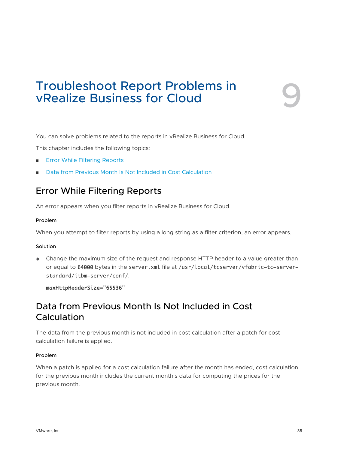# <span id="page-37-0"></span>Troubleshoot Report Problems in<br>
vRealize Business for Cloud

You can solve problems related to the reports in vRealize Business for Cloud.

This chapter includes the following topics:

- **n** Error While Filtering Reports
- Data from Previous Month Is Not Included in Cost Calculation

## Error While Filtering Reports

An error appears when you filter reports in vRealize Business for Cloud.

#### Problem

When you attempt to filter reports by using a long string as a filter criterion, an error appears.

#### Solution

 $\triangle$  Change the maximum size of the request and response HTTP header to a value greater than or equal to 64000 bytes in the server.xml file at /usr/local/tcserver/vfabric-tc-serverstandard/itbm-server/conf/.

maxHttpHeaderSize="65536"

## Data from Previous Month Is Not Included in Cost Calculation

The data from the previous month is not included in cost calculation after a patch for cost calculation failure is applied.

#### Problem

When a patch is applied for a cost calculation failure after the month has ended, cost calculation for the previous month includes the current month's data for computing the prices for the previous month.